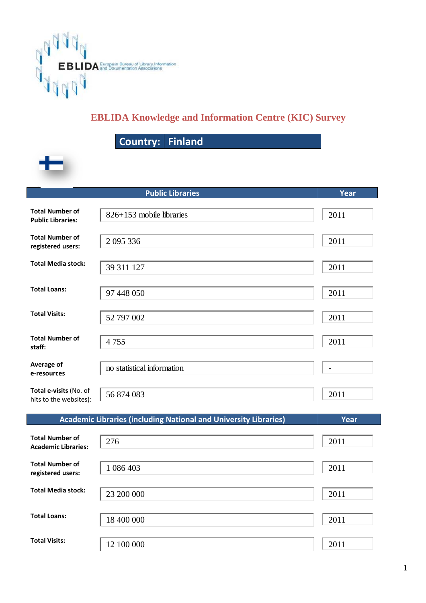

## **EBLIDA Knowledge and Information Centre (KIC) Survey**

**Country: Finland** 

|                                                      | <b>Public Libraries</b>                                          | Year                     |
|------------------------------------------------------|------------------------------------------------------------------|--------------------------|
| <b>Total Number of</b><br><b>Public Libraries:</b>   | 826+153 mobile libraries                                         | 2011                     |
| <b>Total Number of</b><br>registered users:          | 2 095 336                                                        | 2011                     |
| <b>Total Media stock:</b>                            | 39 311 127                                                       | 2011                     |
| <b>Total Loans:</b>                                  | 97 448 050                                                       | 2011                     |
| <b>Total Visits:</b>                                 | 52 797 002                                                       | 2011                     |
| <b>Total Number of</b><br>staff:                     | 4755                                                             | 2011                     |
| Average of<br>e-resources                            | no statistical information                                       | $\overline{\phantom{a}}$ |
| Total e-visits (No. of<br>hits to the websites):     | 56 874 083                                                       | 2011                     |
|                                                      | Academic Libraries (including National and University Libraries) | Year                     |
| <b>Total Number of</b><br><b>Academic Libraries:</b> | 276                                                              | 2011                     |
| <b>Total Number of</b><br>registered users:          | 1 086 403                                                        | 2011                     |
| <b>Total Media stock:</b>                            | 23 200 000                                                       | 2011                     |
| <b>Total Loans:</b>                                  | 18 400 000                                                       | 2011                     |
| <b>Total Visits:</b>                                 | 12 100 000                                                       | 2011                     |